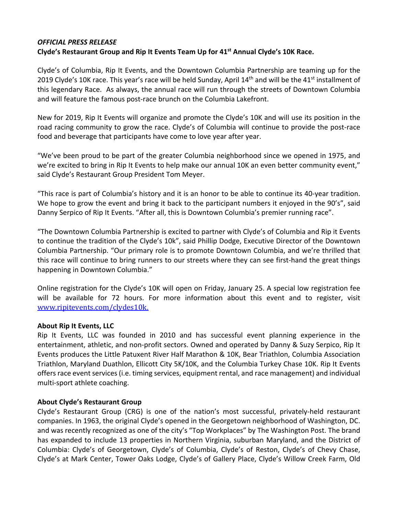## *OFFICIAL PRESS RELEASE* **Clyde's Restaurant Group and Rip It Events Team Up for 41st Annual Clyde's 10K Race.**

Clyde's of Columbia, Rip It Events, and the Downtown Columbia Partnership are teaming up for the 2019 Clyde's 10K race. This year's race will be held Sunday, April  $14<sup>th</sup>$  and will be the 41<sup>st</sup> installment of this legendary Race. As always, the annual race will run through the streets of Downtown Columbia and will feature the famous post-race brunch on the Columbia Lakefront.

New for 2019, Rip It Events will organize and promote the Clyde's 10K and will use its position in the road racing community to grow the race. Clyde's of Columbia will continue to provide the post-race food and beverage that participants have come to love year after year.

"We've been proud to be part of the greater Columbia neighborhood since we opened in 1975, and we're excited to bring in Rip It Events to help make our annual 10K an even better community event," said Clyde's Restaurant Group President Tom Meyer.

"This race is part of Columbia's history and it is an honor to be able to continue its 40-year tradition. We hope to grow the event and bring it back to the participant numbers it enjoyed in the 90's", said Danny Serpico of Rip It Events. "After all, this is Downtown Columbia's premier running race".

"The Downtown Columbia Partnership is excited to partner with Clyde's of Columbia and Rip it Events to continue the tradition of the Clyde's 10k", said Phillip Dodge, Executive Director of the Downtown Columbia Partnership. "Our primary role is to promote Downtown Columbia, and we're thrilled that this race will continue to bring runners to our streets where they can see first-hand the great things happening in Downtown Columbia."

Online registration for the Clyde's 10K will open on Friday, January 25. A special low registration fee will be available for 72 hours. For more information about this event and to register, visit www.ripitevents.com/clydes10k.

## **About Rip It Events, LLC**

Rip It Events, LLC was founded in 2010 and has successful event planning experience in the entertainment, athletic, and non-profit sectors. Owned and operated by Danny & Suzy Serpico, Rip It Events produces the Little Patuxent River Half Marathon & 10K, Bear Triathlon, Columbia Association Triathlon, Maryland Duathlon, Ellicott City 5K/10K, and the Columbia Turkey Chase 10K. Rip It Events offers race event services (i.e. timing services, equipment rental, and race management) and individual multi-sport athlete coaching.

## **About Clyde's Restaurant Group**

Clyde's Restaurant Group (CRG) is one of the nation's most successful, privately-held restaurant companies. In 1963, the original Clyde's opened in the Georgetown neighborhood of Washington, DC. and was recently recognized as one of the city's "Top Workplaces" by The Washington Post. The brand has expanded to include 13 properties in Northern Virginia, suburban Maryland, and the District of Columbia: Clyde's of Georgetown, Clyde's of Columbia, Clyde's of Reston, Clyde's of Chevy Chase, Clyde's at Mark Center, Tower Oaks Lodge, Clyde's of Gallery Place, Clyde's Willow Creek Farm, Old